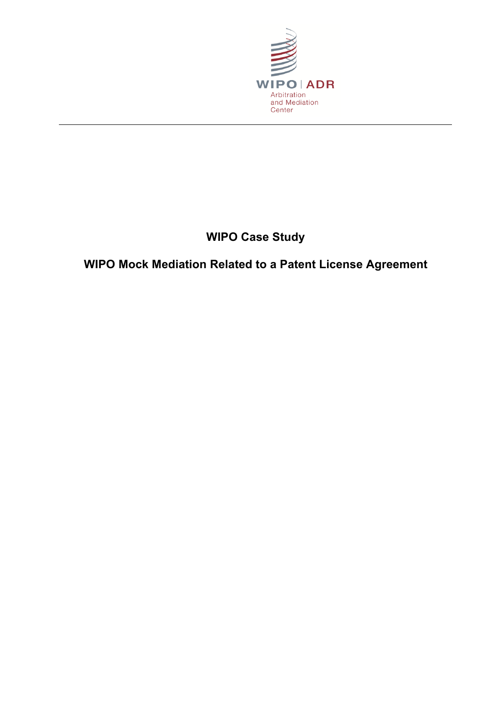

# **WIPO Case Study**

# **WIPO Mock Mediation Related to a Patent License Agreement**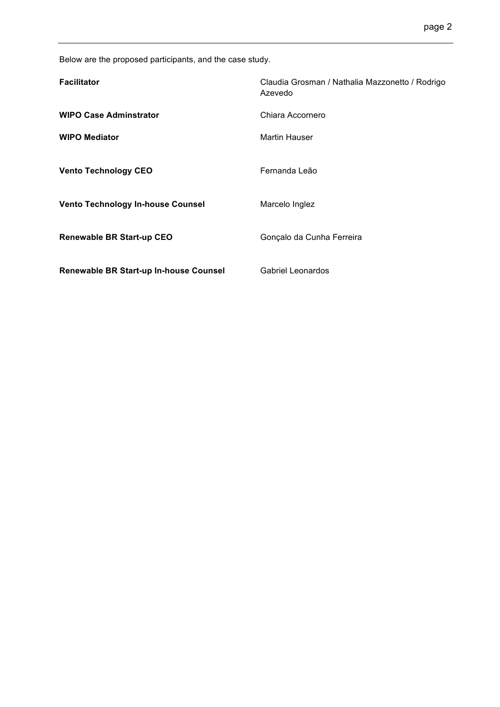Below are the proposed participants, and the case study.

| <b>Facilitator</b>                       | Claudia Grosman / Nathalia Mazzonetto / Rodrigo<br>Azevedo |
|------------------------------------------|------------------------------------------------------------|
| <b>WIPO Case Adminstrator</b>            | Chiara Accornero                                           |
| <b>WIPO Mediator</b>                     | <b>Martin Hauser</b>                                       |
| <b>Vento Technology CEO</b>              | Fernanda Leão                                              |
| <b>Vento Technology In-house Counsel</b> | Marcelo Inglez                                             |
| <b>Renewable BR Start-up CEO</b>         | Gonçalo da Cunha Ferreira                                  |
| Renewable BR Start-up In-house Counsel   | <b>Gabriel Leonardos</b>                                   |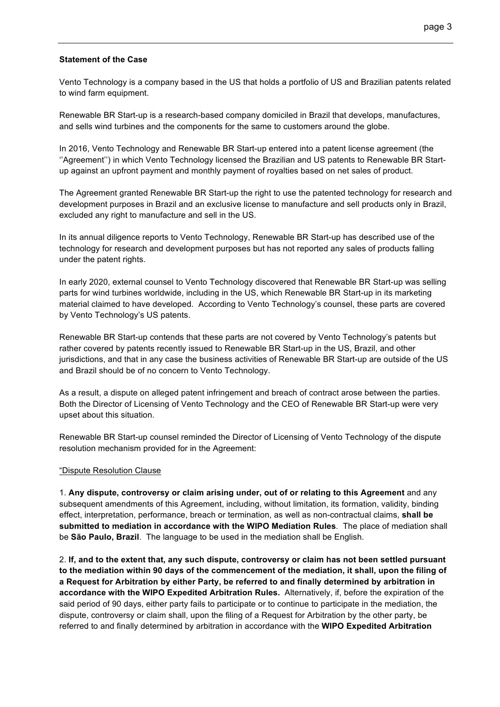## **Statement of the Case**

Vento Technology is a company based in the US that holds a portfolio of US and Brazilian patents related to wind farm equipment.

Renewable BR Start-up is a research-based company domiciled in Brazil that develops, manufactures, and sells wind turbines and the components for the same to customers around the globe.

In 2016, Vento Technology and Renewable BR Start-up entered into a patent license agreement (the ''Agreement'') in which Vento Technology licensed the Brazilian and US patents to Renewable BR Startup against an upfront payment and monthly payment of royalties based on net sales of product.

The Agreement granted Renewable BR Start-up the right to use the patented technology for research and development purposes in Brazil and an exclusive license to manufacture and sell products only in Brazil, excluded any right to manufacture and sell in the US.

In its annual diligence reports to Vento Technology, Renewable BR Start-up has described use of the technology for research and development purposes but has not reported any sales of products falling under the patent rights.

In early 2020, external counsel to Vento Technology discovered that Renewable BR Start-up was selling parts for wind turbines worldwide, including in the US, which Renewable BR Start-up in its marketing material claimed to have developed. According to Vento Technology's counsel, these parts are covered by Vento Technology's US patents.

Renewable BR Start-up contends that these parts are not covered by Vento Technology's patents but rather covered by patents recently issued to Renewable BR Start-up in the US, Brazil, and other jurisdictions, and that in any case the business activities of Renewable BR Start-up are outside of the US and Brazil should be of no concern to Vento Technology.

As a result, a dispute on alleged patent infringement and breach of contract arose between the parties. Both the Director of Licensing of Vento Technology and the CEO of Renewable BR Start-up were very upset about this situation.

Renewable BR Start-up counsel reminded the Director of Licensing of Vento Technology of the dispute resolution mechanism provided for in the Agreement:

### "Dispute Resolution Clause

1. **Any dispute, controversy or claim arising under, out of or relating to this Agreement** and any subsequent amendments of this Agreement, including, without limitation, its formation, validity, binding effect, interpretation, performance, breach or termination, as well as non-contractual claims, **shall be submitted to mediation in accordance with the WIPO Mediation Rules**. The place of mediation shall be **São Paulo, Brazil**. The language to be used in the mediation shall be English.

2. **If, and to the extent that, any such dispute, controversy or claim has not been settled pursuant to the mediation within 90 days of the commencement of the mediation, it shall, upon the filing of a Request for Arbitration by either Party, be referred to and finally determined by arbitration in accordance with the WIPO Expedited Arbitration Rules.** Alternatively, if, before the expiration of the said period of 90 days, either party fails to participate or to continue to participate in the mediation, the dispute, controversy or claim shall, upon the filing of a Request for Arbitration by the other party, be referred to and finally determined by arbitration in accordance with the **WIPO Expedited Arbitration**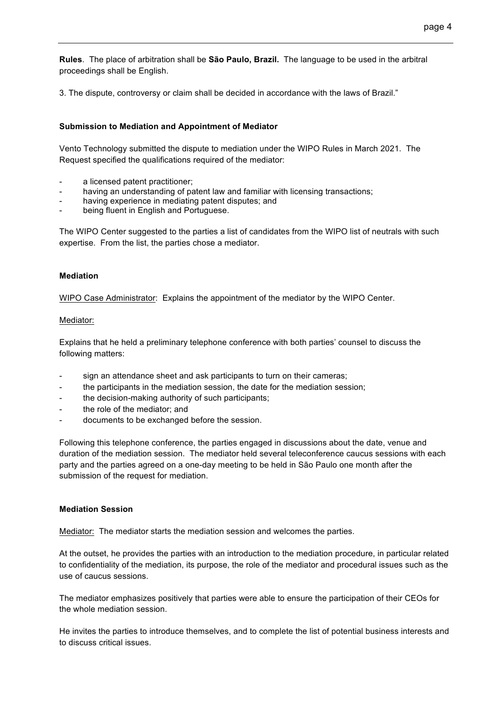**Rules**. The place of arbitration shall be **São Paulo, Brazil.** The language to be used in the arbitral proceedings shall be English.

3. The dispute, controversy or claim shall be decided in accordance with the laws of Brazil."

## **Submission to Mediation and Appointment of Mediator**

Vento Technology submitted the dispute to mediation under the WIPO Rules in March 2021. The Request specified the qualifications required of the mediator:

- a licensed patent practitioner;
- having an understanding of patent law and familiar with licensing transactions;
- having experience in mediating patent disputes; and
- being fluent in English and Portuguese.

The WIPO Center suggested to the parties a list of candidates from the WIPO list of neutrals with such expertise. From the list, the parties chose a mediator.

### **Mediation**

WIPO Case Administrator: Explains the appointment of the mediator by the WIPO Center.

### Mediator:

Explains that he held a preliminary telephone conference with both parties' counsel to discuss the following matters:

- sign an attendance sheet and ask participants to turn on their cameras;
- the participants in the mediation session, the date for the mediation session;
- the decision-making authority of such participants;
- the role of the mediator; and
- documents to be exchanged before the session.

Following this telephone conference, the parties engaged in discussions about the date, venue and duration of the mediation session. The mediator held several teleconference caucus sessions with each party and the parties agreed on a one-day meeting to be held in São Paulo one month after the submission of the request for mediation.

### **Mediation Session**

Mediator: The mediator starts the mediation session and welcomes the parties.

At the outset, he provides the parties with an introduction to the mediation procedure, in particular related to confidentiality of the mediation, its purpose, the role of the mediator and procedural issues such as the use of caucus sessions.

The mediator emphasizes positively that parties were able to ensure the participation of their CEOs for the whole mediation session.

He invites the parties to introduce themselves, and to complete the list of potential business interests and to discuss critical issues.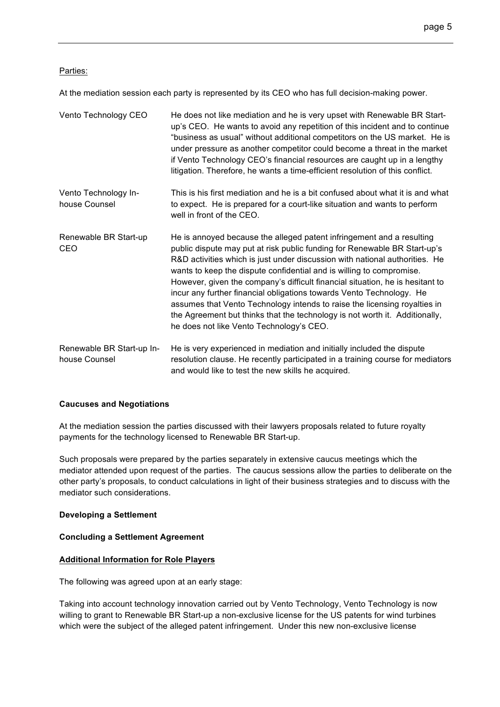## Parties:

At the mediation session each party is represented by its CEO who has full decision-making power.

| Vento Technology CEO                       | He does not like mediation and he is very upset with Renewable BR Start-<br>up's CEO. He wants to avoid any repetition of this incident and to continue<br>"business as usual" without additional competitors on the US market. He is<br>under pressure as another competitor could become a threat in the market<br>if Vento Technology CEO's financial resources are caught up in a lengthy<br>litigation. Therefore, he wants a time-efficient resolution of this conflict.                                                                                                                                                                                             |
|--------------------------------------------|----------------------------------------------------------------------------------------------------------------------------------------------------------------------------------------------------------------------------------------------------------------------------------------------------------------------------------------------------------------------------------------------------------------------------------------------------------------------------------------------------------------------------------------------------------------------------------------------------------------------------------------------------------------------------|
| Vento Technology In-<br>house Counsel      | This is his first mediation and he is a bit confused about what it is and what<br>to expect. He is prepared for a court-like situation and wants to perform<br>well in front of the CEO.                                                                                                                                                                                                                                                                                                                                                                                                                                                                                   |
| Renewable BR Start-up<br>CEO               | He is annoyed because the alleged patent infringement and a resulting<br>public dispute may put at risk public funding for Renewable BR Start-up's<br>R&D activities which is just under discussion with national authorities. He<br>wants to keep the dispute confidential and is willing to compromise.<br>However, given the company's difficult financial situation, he is hesitant to<br>incur any further financial obligations towards Vento Technology. He<br>assumes that Vento Technology intends to raise the licensing royalties in<br>the Agreement but thinks that the technology is not worth it. Additionally,<br>he does not like Vento Technology's CEO. |
| Renewable BR Start-up In-<br>house Counsel | He is very experienced in mediation and initially included the dispute<br>resolution clause. He recently participated in a training course for mediators<br>and would like to test the new skills he acquired.                                                                                                                                                                                                                                                                                                                                                                                                                                                             |

## **Caucuses and Negotiations**

At the mediation session the parties discussed with their lawyers proposals related to future royalty payments for the technology licensed to Renewable BR Start-up.

Such proposals were prepared by the parties separately in extensive caucus meetings which the mediator attended upon request of the parties. The caucus sessions allow the parties to deliberate on the other party's proposals, to conduct calculations in light of their business strategies and to discuss with the mediator such considerations.

## **Developing a Settlement**

### **Concluding a Settlement Agreement**

## **Additional Information for Role Players**

The following was agreed upon at an early stage:

Taking into account technology innovation carried out by Vento Technology, Vento Technology is now willing to grant to Renewable BR Start-up a non-exclusive license for the US patents for wind turbines which were the subject of the alleged patent infringement. Under this new non-exclusive license